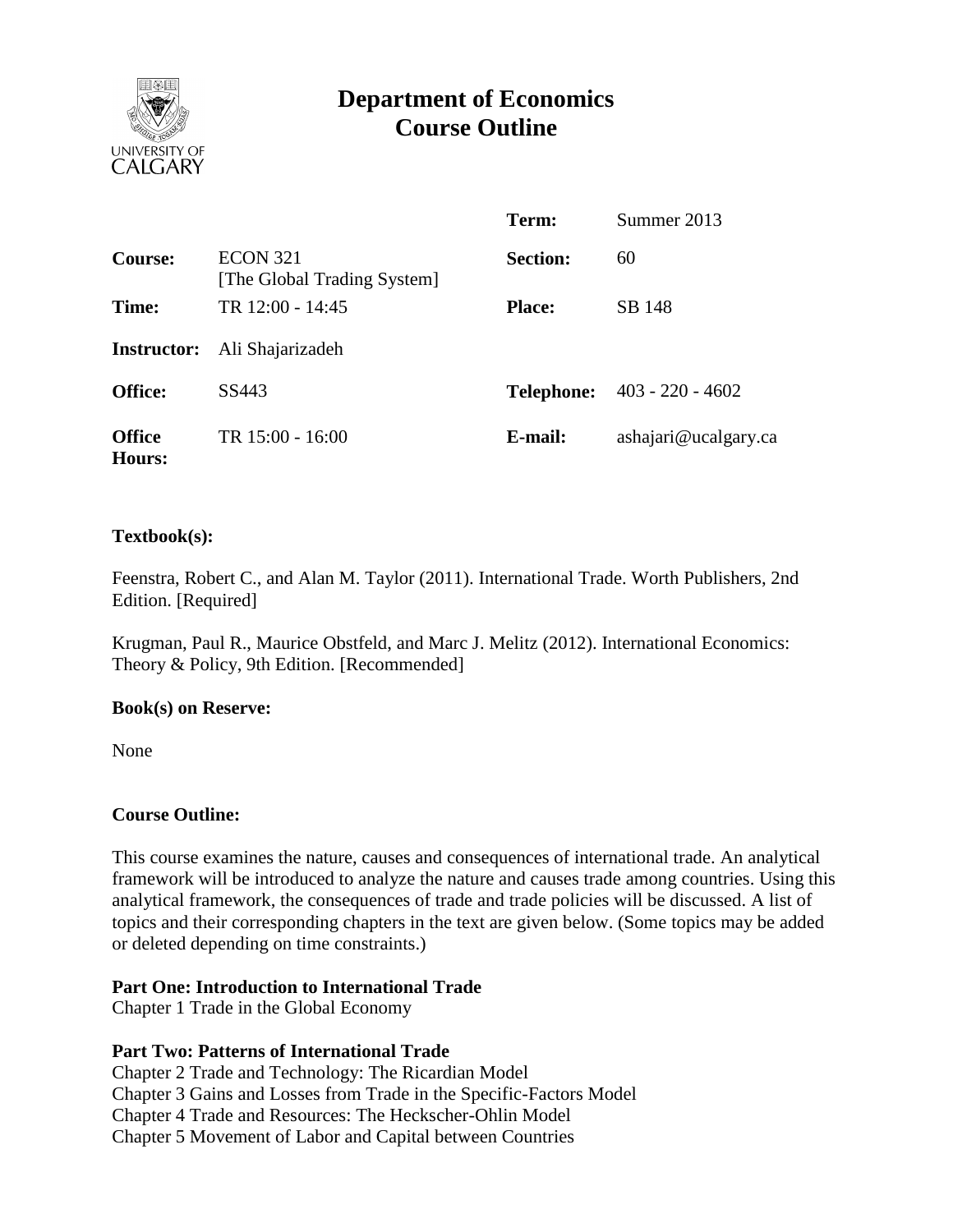

# **Department of Economics Course Outline**

|                                |                                                | Term:             | Summer 2013          |
|--------------------------------|------------------------------------------------|-------------------|----------------------|
| Course:                        | <b>ECON 321</b><br>[The Global Trading System] | <b>Section:</b>   | 60                   |
| Time:                          | TR 12:00 - 14:45                               | <b>Place:</b>     | SB 148               |
|                                | <b>Instructor:</b> Ali Shajarizadeh            |                   |                      |
| <b>Office:</b>                 | SS443                                          | <b>Telephone:</b> | $403 - 220 - 4602$   |
| <b>Office</b><br><b>Hours:</b> | TR 15:00 - 16:00                               | E-mail:           | ashajari@ucalgary.ca |

## **Textbook(s):**

Feenstra, Robert C., and Alan M. Taylor (2011). International Trade. Worth Publishers, 2nd Edition. [Required]

Krugman, Paul R., Maurice Obstfeld, and Marc J. Melitz (2012). International Economics: Theory & Policy, 9th Edition. [Recommended]

#### **Book(s) on Reserve:**

None

#### **Course Outline:**

This course examines the nature, causes and consequences of international trade. An analytical framework will be introduced to analyze the nature and causes trade among countries. Using this analytical framework, the consequences of trade and trade policies will be discussed. A list of topics and their corresponding chapters in the text are given below. (Some topics may be added or deleted depending on time constraints.)

#### **Part One: Introduction to International Trade**

Chapter 1 Trade in the Global Economy

#### **Part Two: Patterns of International Trade**

Chapter 2 Trade and Technology: The Ricardian Model Chapter 3 Gains and Losses from Trade in the Specific-Factors Model Chapter 4 Trade and Resources: The Heckscher-Ohlin Model Chapter 5 Movement of Labor and Capital between Countries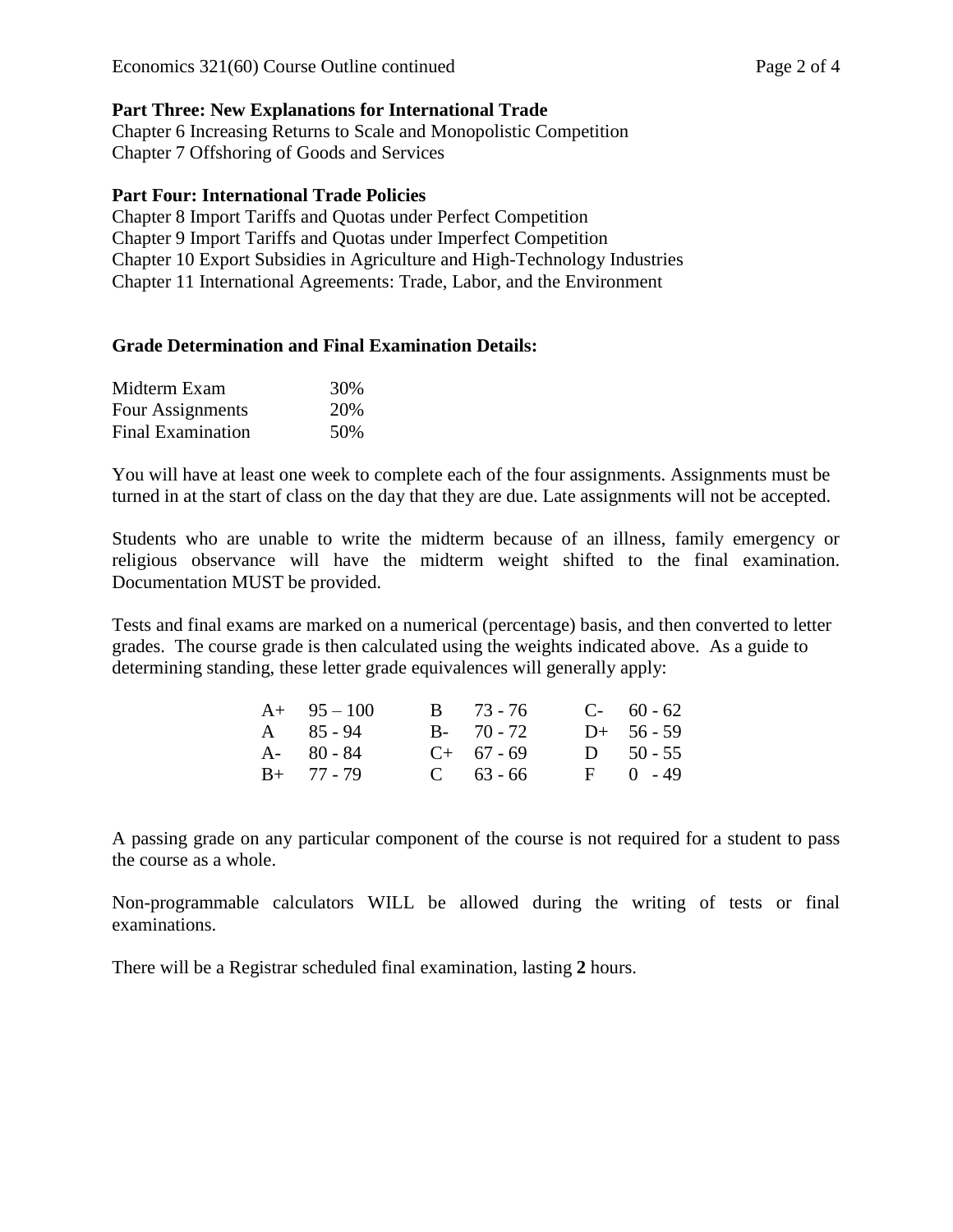## **Part Three: New Explanations for International Trade**

Chapter 6 Increasing Returns to Scale and Monopolistic Competition Chapter 7 Offshoring of Goods and Services

#### **Part Four: International Trade Policies**

Chapter 8 Import Tariffs and Quotas under Perfect Competition Chapter 9 Import Tariffs and Quotas under Imperfect Competition Chapter 10 Export Subsidies in Agriculture and High-Technology Industries Chapter 11 International Agreements: Trade, Labor, and the Environment

#### **Grade Determination and Final Examination Details:**

| Midterm Exam             | 30% |
|--------------------------|-----|
| Four Assignments         | 20% |
| <b>Final Examination</b> | 50% |

You will have at least one week to complete each of the four assignments. Assignments must be turned in at the start of class on the day that they are due. Late assignments will not be accepted.

Students who are unable to write the midterm because of an illness, family emergency or religious observance will have the midterm weight shifted to the final examination. Documentation MUST be provided.

Tests and final exams are marked on a numerical (percentage) basis, and then converted to letter grades. The course grade is then calculated using the weights indicated above. As a guide to determining standing, these letter grade equivalences will generally apply:

| $A+ 95-100$       | $B = 73 - 76$ | $C-60-62$     |
|-------------------|---------------|---------------|
| $A \quad 85 - 94$ | $B - 70 - 72$ | $D+ 56-59$    |
| $A - 80 - 84$     | $C+ 67 - 69$  | $D = 50 - 55$ |
| $B+ 77 - 79$      | $C = 63 - 66$ | $F = 0 - 49$  |

A passing grade on any particular component of the course is not required for a student to pass the course as a whole.

Non-programmable calculators WILL be allowed during the writing of tests or final examinations.

There will be a Registrar scheduled final examination, lasting **2** hours.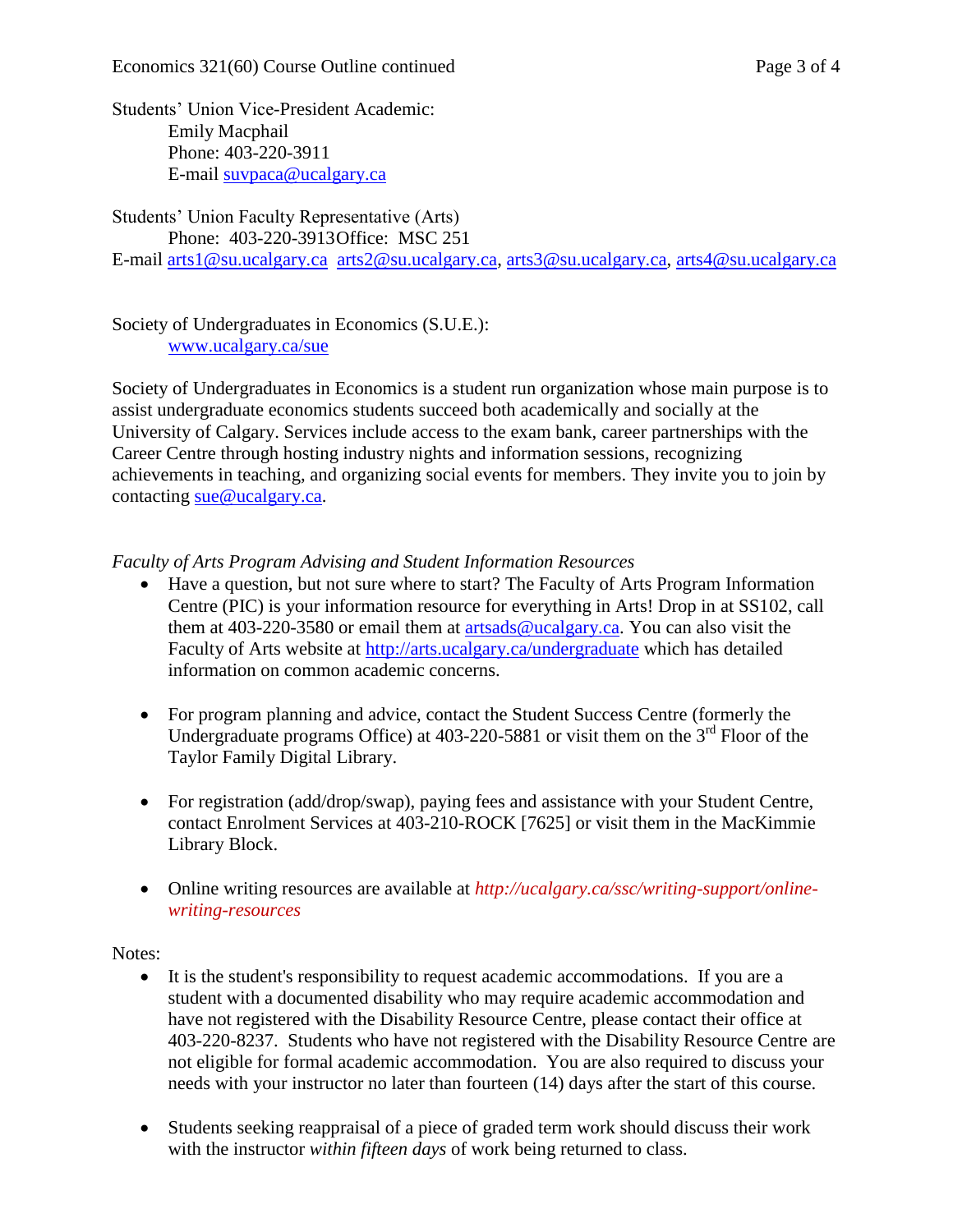Students' Union Vice-President Academic: Emily Macphail Phone: 403-220-3911 E-mail [suvpaca@ucalgary.ca](mailto:subpaca@ucalgary.ca)

Students' Union Faculty Representative (Arts) Phone: 403-220-3913Office: MSC 251 E-mail [arts1@su.ucalgary.ca](mailto:arts1@su.ucalgary.ca) [arts2@su.ucalgary.ca,](mailto:arts2@su.ucalgary.ca) [arts3@su.ucalgary.ca,](mailto:arts3@su.ucalgary.ca) [arts4@su.ucalgary.ca](mailto:arts4@su.ucalgary.ca)

Society of Undergraduates in Economics (S.U.E.): [www.ucalgary.ca/sue](http://www.fp.ucalgary.ca/econ)

Society of Undergraduates in Economics is a student run organization whose main purpose is to assist undergraduate economics students succeed both academically and socially at the University of Calgary. Services include access to the exam bank, career partnerships with the Career Centre through hosting industry nights and information sessions, recognizing achievements in teaching, and organizing social events for members. They invite you to join by contacting [sue@ucalgary.ca.](mailto:sue@ucalgary.ca)

*Faculty of Arts Program Advising and Student Information Resources*

- Have a question, but not sure where to start? The Faculty of Arts Program Information Centre (PIC) is your information resource for everything in Arts! Drop in at SS102, call them at 403-220-3580 or email them at [artsads@ucalgary.ca.](mailto:artsads@ucalgary.ca) You can also visit the Faculty of Arts website at<http://arts.ucalgary.ca/undergraduate> which has detailed information on common academic concerns.
- For program planning and advice, contact the Student Success Centre (formerly the Undergraduate programs Office) at  $403-220-5881$  or visit them on the  $3<sup>rd</sup>$  Floor of the Taylor Family Digital Library.
- For registration (add/drop/swap), paying fees and assistance with your Student Centre, contact Enrolment Services at 403-210-ROCK [7625] or visit them in the MacKimmie Library Block.
- Online writing resources are available at *http://ucalgary.ca/ssc/writing-support/onlinewriting-resources*

Notes:

- It is the student's responsibility to request academic accommodations. If you are a student with a documented disability who may require academic accommodation and have not registered with the Disability Resource Centre, please contact their office at 403-220-8237. Students who have not registered with the Disability Resource Centre are not eligible for formal academic accommodation. You are also required to discuss your needs with your instructor no later than fourteen (14) days after the start of this course.
- Students seeking reappraisal of a piece of graded term work should discuss their work with the instructor *within fifteen days* of work being returned to class.